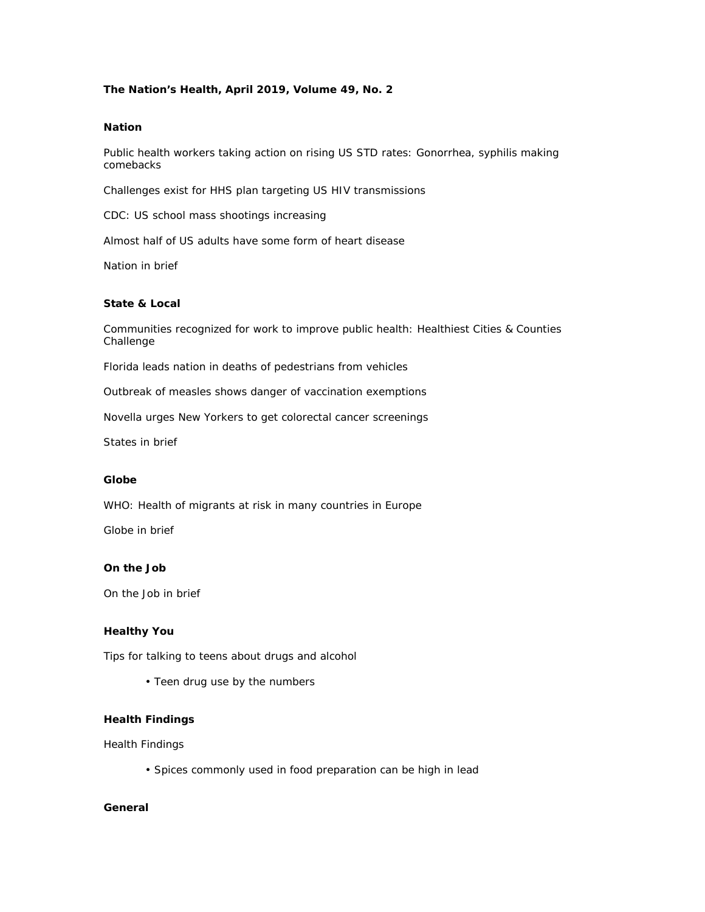## **The Nation's Health, April 2019, Volume 49, No. 2**

## **Nation**

Public health workers taking action on rising US STD rates: Gonorrhea, syphilis making comebacks

Challenges exist for HHS plan targeting US HIV transmissions

CDC: US school mass shootings increasing

Almost half of US adults have some form of heart disease

Nation in brief

### **State & Local**

Communities recognized for work to improve public health: Healthiest Cities & Counties Challenge

Florida leads nation in deaths of pedestrians from vehicles

Outbreak of measles shows danger of vaccination exemptions

Novella urges New Yorkers to get colorectal cancer screenings

States in brief

#### **Globe**

WHO: Health of migrants at risk in many countries in Europe

Globe in brief

### **On the Job**

On the Job in brief

# **Healthy You**

Tips for talking to teens about drugs and alcohol

• Teen drug use by the numbers

#### **Health Findings**

Health Findings

• Spices commonly used in food preparation can be high in lead

## **General**